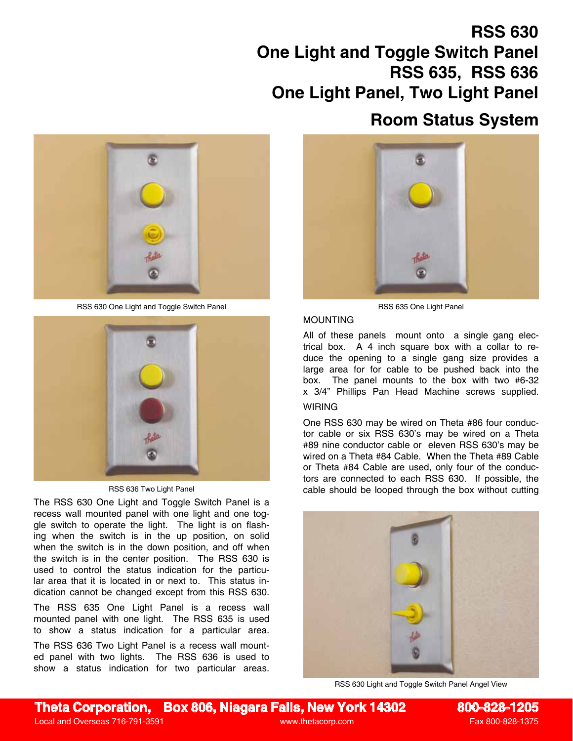# **RSS 630 One Light and Toggle Switch Panel RSS 635, RSS 636 One Light Panel, Two Light Panel**

RSS 630 One Light and Toggle Switch Panel RSS 635 One Light Panel RSS 635 One Light Panel



RSS 636 Two Light Panel

The RSS 630 One Light and Toggle Switch Panel is a recess wall mounted panel with one light and one toggle switch to operate the light. The light is on flashing when the switch is in the up position, on solid when the switch is in the down position, and off when the switch is in the center position. The RSS 630 is used to control the status indication for the particular area that it is located in or next to. This status indication cannot be changed except from this RSS 630.

The RSS 635 One Light Panel is a recess wall mounted panel with one light. The RSS 635 is used to show a status indication for a particular area.

The RSS 636 Two Light Panel is a recess wall mounted panel with two lights. The RSS 636 is used to show a status indication for two particular areas.



**Room Status System**

### MOUNTING

All of these panels mount onto a single gang electrical box. A 4 inch square box with a collar to reduce the opening to a single gang size provides a large area for for cable to be pushed back into the box. The panel mounts to the box with two #6-32 x 3/4" Phillips Pan Head Machine screws supplied.

## **WIRING**

One RSS 630 may be wired on Theta #86 four conductor cable or six RSS 630's may be wired on a Theta #89 nine conductor cable or eleven RSS 630's may be wired on a Theta #84 Cable. When the Theta #89 Cable or Theta #84 Cable are used, only four of the conductors are connected to each RSS 630. If possible, the cable should be looped through the box without cutting



RSS 630 Light and Toggle Switch Panel Angel View

**Theta Corporation, Box 806, Niagara Falls, New York 14302 800-828-1205**

Local and Overseas 716-791-3591 www.thetacorp.com Fax 800-828-1375